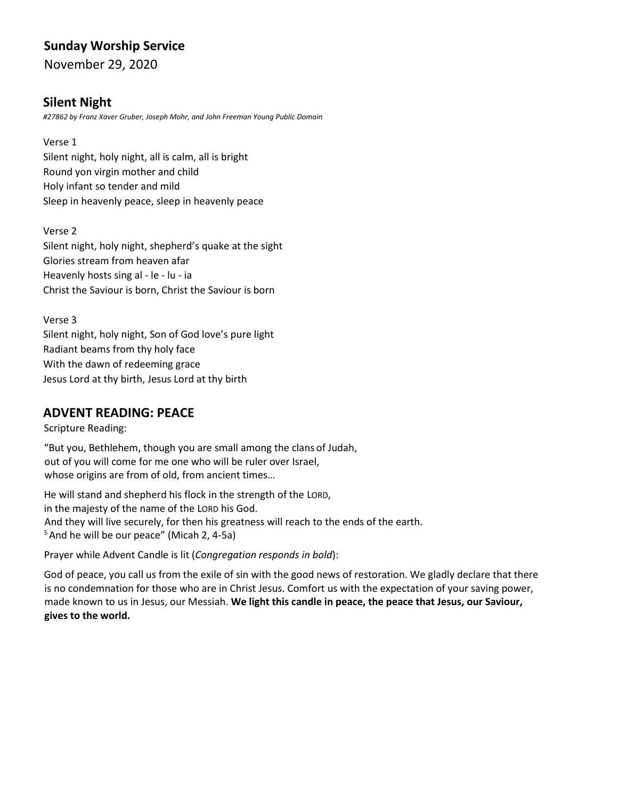# **Sunday Worship Service**

November 29, 2020

## **Silent Night**

*#27862 by Franz Xaver Gruber, Joseph Mohr, and John Freeman Young Public Domain*

# Verse 1

Silent night, holy night, all is calm, all is bright Round yon virgin mother and child Holy infant so tender and mild Sleep in heavenly peace, sleep in heavenly peace

#### Verse 2

Silent night, holy night, shepherd's quake at the sight Glories stream from heaven afar Heavenly hosts sing al - le - lu - ia Christ the Saviour is born, Christ the Saviour is born

Verse 3 Silent night, holy night, Son of God love's pure light Radiant beams from thy holy face With the dawn of redeeming grace Jesus Lord at thy birth, Jesus Lord at thy birth

# **ADVENT READING: PEACE**

Scripture Reading:

"But you, Bethlehem, though you are small among the clans of Judah, out of you will come for me one who will be ruler over Israel, whose origins are from of old, from ancient times…

He will stand and shepherd his flock in the strength of the LORD, in the majesty of the name of the LORD his God. And they will live securely, for then his greatness will reach to the ends of the earth.  $5$  And he will be our peace" (Micah 2, 4-5a)

Prayer while Advent Candle is lit (*Congregation responds in bold*):

God of peace, you call us from the exile of sin with the good news of restoration. We gladly declare that there is no condemnation for those who are in Christ Jesus. Comfort us with the expectation of your saving power, made known to us in Jesus, our Messiah. **We light this candle in peace, the peace that Jesus, our Saviour, gives to the world.**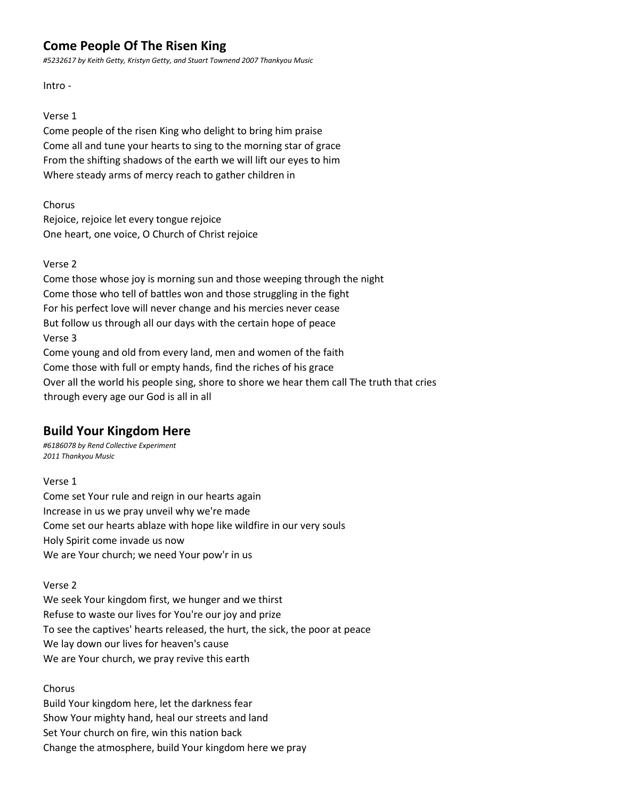# **Come People Of The Risen King**

*#5232617 by Keith Getty, Kristyn Getty, and Stuart Townend 2007 Thankyou Music*

Intro -

#### Verse 1

Come people of the risen King who delight to bring him praise Come all and tune your hearts to sing to the morning star of grace From the shifting shadows of the earth we will lift our eyes to him Where steady arms of mercy reach to gather children in

Chorus

Rejoice, rejoice let every tongue rejoice One heart, one voice, O Church of Christ rejoice

### Verse 2

Come those whose joy is morning sun and those weeping through the night Come those who tell of battles won and those struggling in the fight For his perfect love will never change and his mercies never cease But follow us through all our days with the certain hope of peace Verse 3 Come young and old from every land, men and women of the faith Come those with full or empty hands, find the riches of his grace Over all the world his people sing, shore to shore we hear them call The truth that cries through every age our God is all in all

# **Build Your Kingdom Here**

*#6186078 by Rend Collective Experiment 2011 Thankyou Music*

Verse 1 Come set Your rule and reign in our hearts again Increase in us we pray unveil why we're made Come set our hearts ablaze with hope like wildfire in our very souls Holy Spirit come invade us now We are Your church; we need Your pow'r in us

#### Verse 2

We seek Your kingdom first, we hunger and we thirst Refuse to waste our lives for You're our joy and prize To see the captives' hearts released, the hurt, the sick, the poor at peace We lay down our lives for heaven's cause We are Your church, we pray revive this earth

## Chorus

Build Your kingdom here, let the darkness fear Show Your mighty hand, heal our streets and land Set Your church on fire, win this nation back Change the atmosphere, build Your kingdom here we pray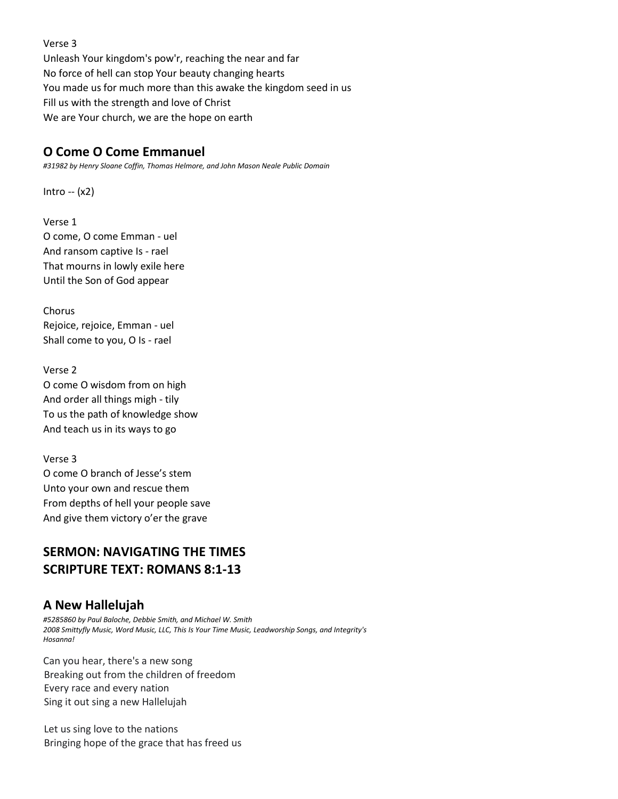#### Verse 3

Unleash Your kingdom's pow'r, reaching the near and far No force of hell can stop Your beauty changing hearts You made us for much more than this awake the kingdom seed in us Fill us with the strength and love of Christ We are Your church, we are the hope on earth

## **O Come O Come Emmanuel**

*#31982 by Henry Sloane Coffin, Thomas Helmore, and John Mason Neale Public Domain*

Intro  $-$  (x2)

Verse 1 O come, O come Emman - uel And ransom captive Is - rael That mourns in lowly exile here Until the Son of God appear

Chorus Rejoice, rejoice, Emman - uel Shall come to you, O Is - rael

Verse 2 O come O wisdom from on high And order all things migh - tily To us the path of knowledge show And teach us in its ways to go

Verse 3

O come O branch of Jesse's stem Unto your own and rescue them From depths of hell your people save And give them victory o'er the grave

# **SERMON: NAVIGATING THE TIMES SCRIPTURE TEXT: ROMANS 8:1-13**

# **A New Hallelujah**

*#5285860 by Paul Baloche, Debbie Smith, and Michael W. Smith 2008 Smittyfly Music, Word Music, LLC, This Is Your Time Music, Leadworship Songs, and Integrity's Hosanna!* 

Can you hear, there's a new song Breaking out from the children of freedom Every race and every nation Sing it out sing a new Hallelujah

Let us sing love to the nations Bringing hope of the grace that has freed us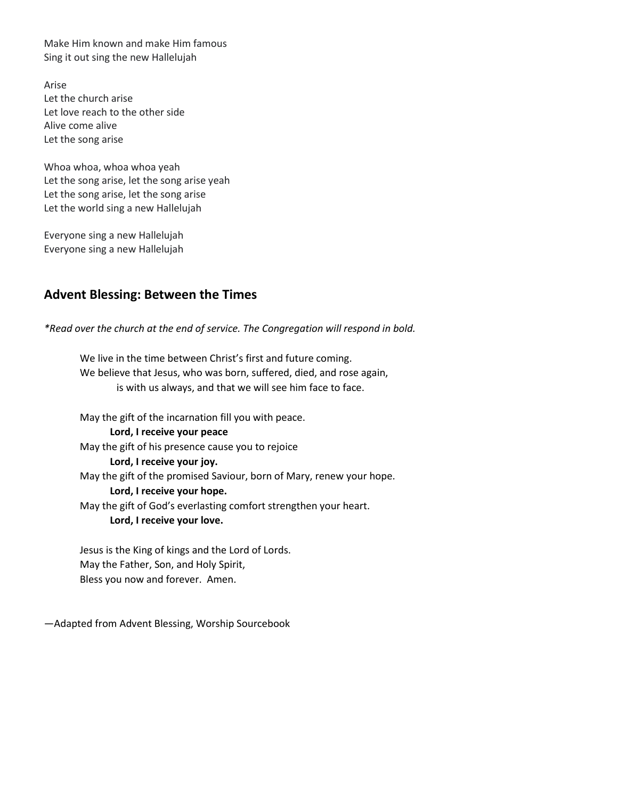Make Him known and make Him famous Sing it out sing the new Hallelujah

Arise Let the church arise Let love reach to the other side Alive come alive Let the song arise

Whoa whoa, whoa whoa yeah Let the song arise, let the song arise yeah Let the song arise, let the song arise Let the world sing a new Hallelujah

Everyone sing a new Hallelujah Everyone sing a new Hallelujah

## **Advent Blessing: Between the Times**

*\*Read over the church at the end of service. The Congregation will respond in bold.*

We live in the time between Christ's first and future coming. We believe that Jesus, who was born, suffered, died, and rose again, is with us always, and that we will see him face to face. May the gift of the incarnation fill you with peace. **Lord, I receive your peace** May the gift of his presence cause you to rejoice **Lord, I receive your joy.** May the gift of the promised Saviour, born of Mary, renew your hope. **Lord, I receive your hope.** May the gift of God's everlasting comfort strengthen your heart. **Lord, I receive your love.**

Jesus is the King of kings and the Lord of Lords. May the Father, Son, and Holy Spirit, Bless you now and forever. Amen.

—Adapted from Advent Blessing, Worship Sourcebook